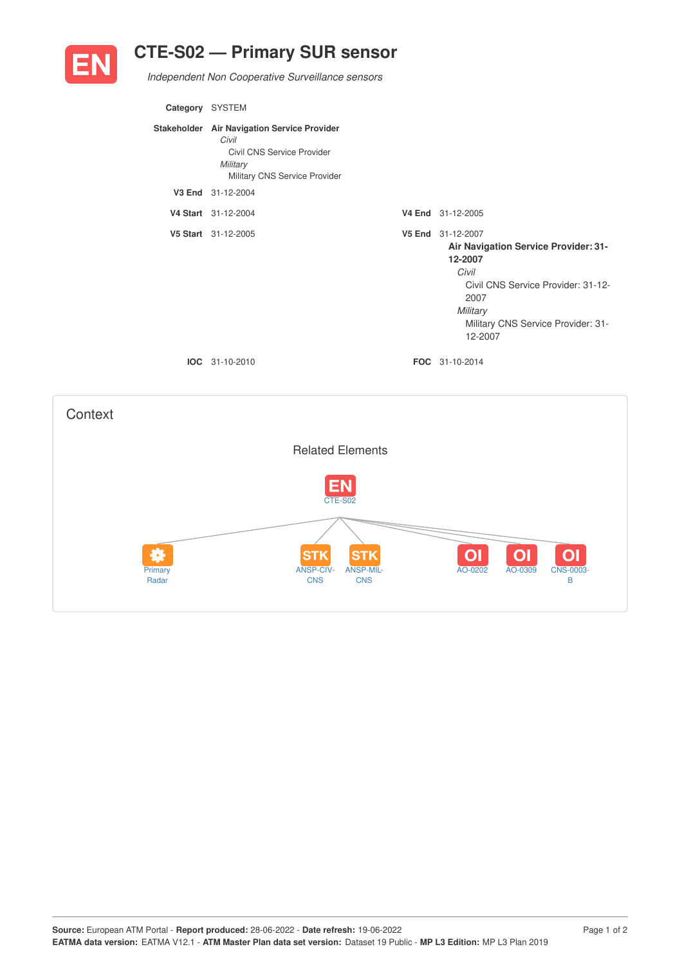

## **CTE-S02 — Primary SUR sensor**

*Independent Non Cooperative Surveillance sensors*

| Category SYSTEM |                                                                                                                                 |                                                                                                                                                                                          |
|-----------------|---------------------------------------------------------------------------------------------------------------------------------|------------------------------------------------------------------------------------------------------------------------------------------------------------------------------------------|
|                 | Stakeholder Air Navigation Service Provider<br>Civil<br>Civil CNS Service Provider<br>Military<br>Military CNS Service Provider |                                                                                                                                                                                          |
|                 | V3 End 31-12-2004                                                                                                               |                                                                                                                                                                                          |
|                 | V4 Start 31-12-2004                                                                                                             | V4 End 31-12-2005                                                                                                                                                                        |
|                 | V5 Start 31-12-2005                                                                                                             | V5 End 31-12-2007<br>Air Navigation Service Provider: 31-<br>12-2007<br>Civil<br>Civil CNS Service Provider: 31-12-<br>2007<br>Military<br>Military CNS Service Provider: 31-<br>12-2007 |
|                 | <b>IOC</b> 31-10-2010                                                                                                           | FOC 31-10-2014                                                                                                                                                                           |